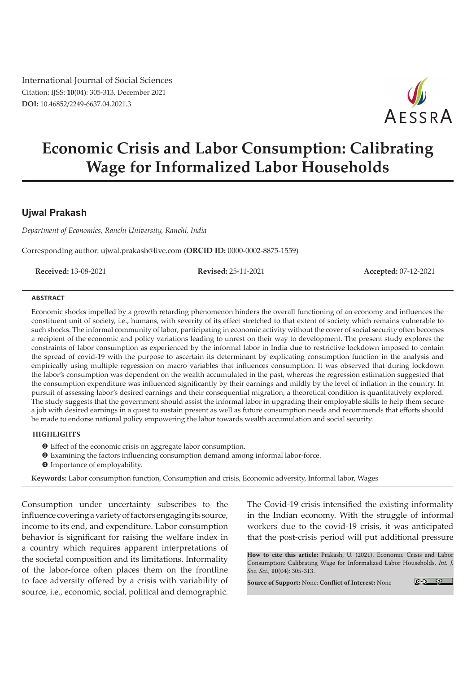International Journal of Social Sciences Citation: IJSS: **10**(04): 305-313, December 2021 **DOI:** 10.46852/2249-6637.04.2021.3



# **Economic Crisis and Labor Consumption: Calibrating Wage for Informalized Labor Households**

# **Ujwal Prakash**

*Department of Economics, Ranchi University, Ranchi, India*

Corresponding author: ujwal.prakash@live.com (**ORCID ID:** 0000-0002-8875-1559)

**Received:** 13-08-2021 **Revised:** 25-11-2021 **Accepted:** 07-12-2021

#### **ABSTRACT**

Economic shocks impelled by a growth retarding phenomenon hinders the overall functioning of an economy and influences the constituent unit of society, i.e., humans, with severity of its effect stretched to that extent of society which remains vulnerable to such shocks. The informal community of labor, participating in economic activity without the cover of social security often becomes a recipient of the economic and policy variations leading to unrest on their way to development. The present study explores the constraints of labor consumption as experienced by the informal labor in India due to restrictive lockdown imposed to contain the spread of covid-19 with the purpose to ascertain its determinant by explicating consumption function in the analysis and empirically using multiple regression on macro variables that influences consumption. It was observed that during lockdown the labor's consumption was dependent on the wealth accumulated in the past, whereas the regression estimation suggested that the consumption expenditure was influenced significantly by their earnings and mildly by the level of inflation in the country. In pursuit of assessing labor's desired earnings and their consequential migration, a theoretical condition is quantitatively explored. The study suggests that the government should assist the informal labor in upgrading their employable skills to help them secure a job with desired earnings in a quest to sustain present as well as future consumption needs and recommends that efforts should be made to endorse national policy empowering the labor towards wealth accumulation and social security.

#### **Highlights**

- $\bullet$  Effect of the economic crisis on aggregate labor consumption.
- m Examining the factors influencing consumption demand among informal labor-force.
- $\odot$  Importance of employability.

**Keywords:** Labor consumption function, Consumption and crisis, Economic adversity, Informal labor, Wages

Consumption under uncertainty subscribes to the influence covering a variety of factors engaging its source, income to its end, and expenditure. Labor consumption behavior is significant for raising the welfare index in a country which requires apparent interpretations of the societal composition and its limitations. Informality of the labor-force often places them on the frontline to face adversity offered by a crisis with variability of source, i.e., economic, social, political and demographic.

The Covid-19 crisis intensified the existing informality in the Indian economy. With the struggle of informal workers due to the covid-19 crisis, it was anticipated that the post-crisis period will put additional pressure

**How to cite this article:** Prakash, U. (2021). Economic Crisis and Labor Consumption: Calibrating Wage for Informalized Labor Households. *Int. J. Soc. Sci.,* **10**(04): 305-313.

**Source of Support:** None; **Conflict of Interest:** None

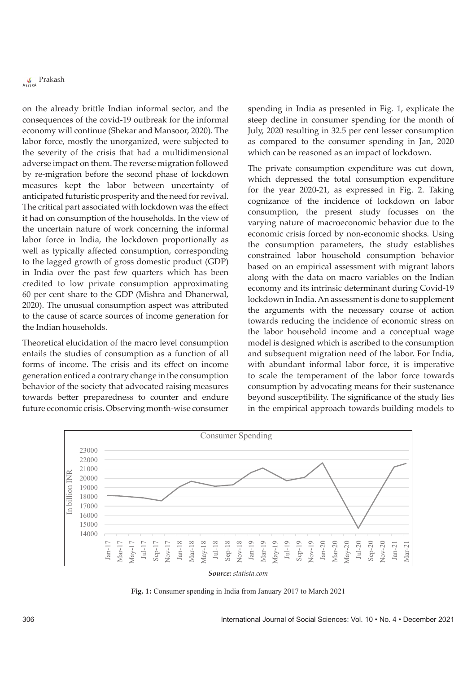**CESSRA** Prakash

on the already brittle Indian informal sector, and the consequences of the covid-19 outbreak for the informal economy will continue (Shekar and Mansoor, 2020). The labor force, mostly the unorganized, were subjected to the severity of the crisis that had a multidimensional adverse impact on them. The reverse migration followed by re-migration before the second phase of lockdown measures kept the labor between uncertainty of anticipated futuristic prosperity and the need for revival. The critical part associated with lockdown was the effect it had on consumption of the households. In the view of the uncertain nature of work concerning the informal labor force in India, the lockdown proportionally as well as typically affected consumption, corresponding to the lagged growth of gross domestic product (GDP) in India over the past few quarters which has been credited to low private consumption approximating 60 per cent share to the GDP (Mishra and Dhanerwal, 2020). The unusual consumption aspect was attributed to the cause of scarce sources of income generation for the Indian households.

Theoretical elucidation of the macro level consumption entails the studies of consumption as a function of all forms of income. The crisis and its effect on income generation enticed a contrary change in the consumption behavior of the society that advocated raising measures towards better preparedness to counter and endure future economic crisis. Observing month-wise consumer

spending in India as presented in Fig. 1, explicate the steep decline in consumer spending for the month of July, 2020 resulting in 32.5 per cent lesser consumption as compared to the consumer spending in Jan, 2020 which can be reasoned as an impact of lockdown.

The private consumption expenditure was cut down, which depressed the total consumption expenditure for the year 2020-21, as expressed in Fig. 2. Taking cognizance of the incidence of lockdown on labor consumption, the present study focusses on the varying nature of macroeconomic behavior due to the economic crisis forced by non-economic shocks. Using the consumption parameters, the study establishes constrained labor household consumption behavior based on an empirical assessment with migrant labors along with the data on macro variables on the Indian economy and its intrinsic determinant during Covid-19 lockdown in India. An assessment is done to supplement the arguments with the necessary course of action towards reducing the incidence of economic stress on the labor household income and a conceptual wage model is designed which is ascribed to the consumption and subsequent migration need of the labor. For India, with abundant informal labor force, it is imperative to scale the temperament of the labor force towards consumption by advocating means for their sustenance beyond susceptibility. The significance of the study lies in the empirical approach towards building models to



**Fig. 1:** Consumer spending in India from January 2017 to March 2021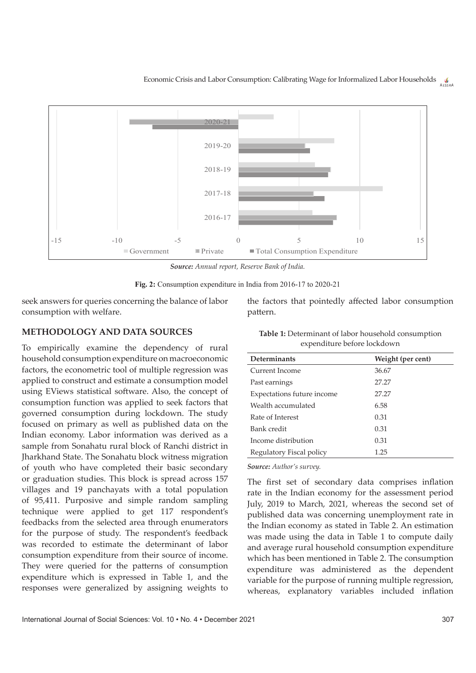Economic Crisis and Labor Consumption: Calibrating Wage for Informalized Labor Households



*Source: Annual report, Reserve Bank of India.*



seek answers for queries concerning the balance of labor consumption with welfare.

#### **METHODOLOGY AND DATA SOURCES**

To empirically examine the dependency of rural household consumption expenditure on macroeconomic factors, the econometric tool of multiple regression was applied to construct and estimate a consumption model using EViews statistical software. Also, the concept of consumption function was applied to seek factors that governed consumption during lockdown. The study focused on primary as well as published data on the Indian economy. Labor information was derived as a sample from Sonahatu rural block of Ranchi district in Jharkhand State. The Sonahatu block witness migration of youth who have completed their basic secondary or graduation studies. This block is spread across 157 villages and 19 panchayats with a total population of 95,411. Purposive and simple random sampling technique were applied to get 117 respondent's feedbacks from the selected area through enumerators for the purpose of study. The respondent's feedback was recorded to estimate the determinant of labor consumption expenditure from their source of income. They were queried for the patterns of consumption expenditure which is expressed in Table 1, and the responses were generalized by assigning weights to

the factors that pointedly affected labor consumption pattern.

| expenditure before lockdown |                   |  |  |  |
|-----------------------------|-------------------|--|--|--|
| eterminants.                | Weight (per cent) |  |  |  |

**Table 1:** Determinant of labor household consumption

| <b>Determinants</b>        | Weight (per cent) |
|----------------------------|-------------------|
| Current Income             | 36.67             |
| Past earnings              | 27.27             |
| Expectations future income | 27.27             |
| Wealth accumulated         | 6.58              |
| Rate of Interest           | 0.31              |
| Bank credit                | 0.31              |
| Income distribution        | 0.31              |
| Regulatory Fiscal policy   | 1.25              |

*Source: Author's survey.*

The first set of secondary data comprises inflation rate in the Indian economy for the assessment period July, 2019 to March, 2021, whereas the second set of published data was concerning unemployment rate in the Indian economy as stated in Table 2. An estimation was made using the data in Table 1 to compute daily and average rural household consumption expenditure which has been mentioned in Table 2. The consumption expenditure was administered as the dependent variable for the purpose of running multiple regression, whereas, explanatory variables included inflation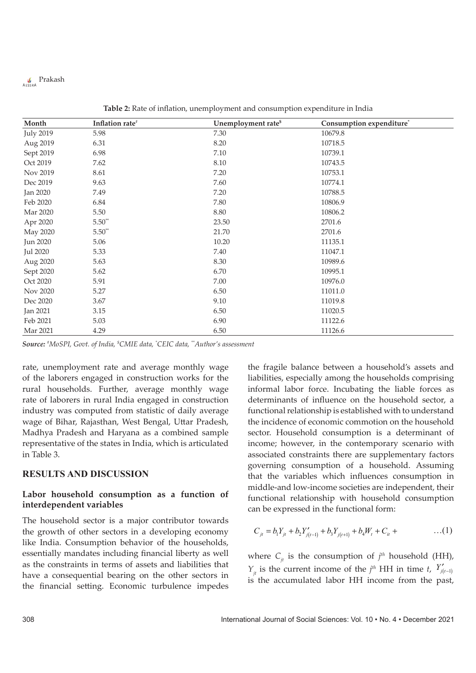| Month            | Inflation rate <sup>#</sup> | Unemployment rate <sup>\$</sup> | Consumption expenditure* |  |
|------------------|-----------------------------|---------------------------------|--------------------------|--|
| <b>July 2019</b> | 5.98                        | 7.30                            | 10679.8                  |  |
| Aug 2019         | 6.31                        | 8.20                            | 10718.5                  |  |
| Sept 2019        | 6.98                        | 7.10                            | 10739.1                  |  |
| Oct 2019         | 7.62                        | 8.10                            | 10743.5                  |  |
| Nov 2019         | 8.61                        | 7.20                            | 10753.1                  |  |
| Dec 2019         | 9.63                        | 7.60                            | 10774.1                  |  |
| <b>Jan 2020</b>  | 7.49                        | 7.20                            | 10788.5                  |  |
| Feb 2020         | 6.84                        | 7.80                            | 10806.9                  |  |
| Mar 2020         | 5.50                        | 8.80                            | 10806.2                  |  |
| Apr 2020         | $5.50**$                    | 23.50                           | 2701.6                   |  |
| May 2020         | $5.50**$                    | 21.70                           | 2701.6                   |  |
| Jun 2020         | 5.06                        | 10.20                           | 11135.1                  |  |
| <b>Jul 2020</b>  | 5.33                        | 7.40                            | 11047.1                  |  |
| Aug 2020         | 5.63                        | 8.30                            | 10989.6                  |  |
| Sept 2020        | 5.62                        | 6.70                            | 10995.1                  |  |
| Oct 2020         | 5.91                        | 7.00                            | 10976.0                  |  |
| Nov 2020         | 5.27                        | 6.50                            | 11011.0                  |  |
| Dec 2020         | 3.67                        | 9.10                            | 11019.8                  |  |
| <b>Jan 2021</b>  | 3.15                        | 6.50                            | 11020.5                  |  |
| Feb 2021         | 5.03                        | 6.90                            | 11122.6                  |  |
| Mar 2021         | 4.29                        | 6.50                            | 11126.6                  |  |

**Table 2:** Rate of inflation, unemployment and consumption expenditure in India

*Source: # MoSPI, Govt. of India, \$ CMIE data, \* CEIC data, \*\*Author's assessment*

rate, unemployment rate and average monthly wage of the laborers engaged in construction works for the rural households. Further, average monthly wage rate of laborers in rural India engaged in construction industry was computed from statistic of daily average wage of Bihar, Rajasthan, West Bengal, Uttar Pradesh, Madhya Pradesh and Haryana as a combined sample representative of the states in India, which is articulated in Table 3.

### **RESULTS AND DISCUSSION**

## **Labor household consumption as a function of interdependent variables**

The household sector is a major contributor towards the growth of other sectors in a developing economy like India. Consumption behavior of the households, essentially mandates including financial liberty as well as the constraints in terms of assets and liabilities that have a consequential bearing on the other sectors in the financial setting. Economic turbulence impedes the fragile balance between a household's assets and liabilities, especially among the households comprising informal labor force. Incubating the liable forces as determinants of influence on the household sector, a functional relationship is established with to understand the incidence of economic commotion on the household sector. Household consumption is a determinant of income; however, in the contemporary scenario with associated constraints there are supplementary factors governing consumption of a household. Assuming that the variables which influences consumption in middle-and low-income societies are independent, their functional relationship with household consumption can be expressed in the functional form:

$$
C_{it} = b_1 Y_{it} + b_2 Y'_{i(t-1)} + b_3 Y_{i(t+1)} + b_4 W_t + C_{it} + \dots (1)
$$

where  $C_{it}$  is the consumption of  $j<sup>th</sup>$  household (HH), *Y<sub>jt</sub>* is the current income of the *j*<sup>th</sup> HH in time *t*, *Y*<sub>*j*( $t-1$ )</sub> is the accumulated labor HH income from the past,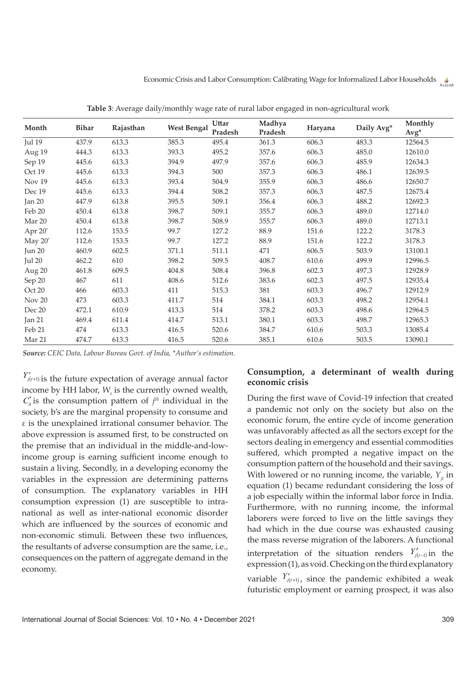|                   |              | Rajasthan |                    | Uttar<br>Madhya |         |         |            | Monthly |
|-------------------|--------------|-----------|--------------------|-----------------|---------|---------|------------|---------|
| Month             | <b>Bihar</b> |           | <b>West Bengal</b> | Pradesh         | Pradesh | Haryana | Daily Avg* | $Avg*$  |
| <b>Jul 19</b>     | 437.9        | 613.3     | 385.3              | 495.4           | 361.3   | 606.3   | 483.3      | 12564.5 |
| Aug 19            | 444.3        | 613.3     | 393.3              | 495.2           | 357.6   | 606.3   | 485.0      | 12610.0 |
| Sep 19            | 445.6        | 613.3     | 394.9              | 497.9           | 357.6   | 606.3   | 485.9      | 12634.3 |
| Oct 19            | 445.6        | 613.3     | 394.3              | 500             | 357.3   | 606.3   | 486.1      | 12639.5 |
| Nov <sub>19</sub> | 445.6        | 613.3     | 393.4              | 504.9           | 355.9   | 606.3   | 486.6      | 12650.7 |
| Dec 19            | 445.6        | 613.3     | 394.4              | 508.2           | 357.3   | 606.3   | 487.5      | 12675.4 |
| Jan 20            | 447.9        | 613.8     | 395.5              | 509.1           | 356.4   | 606.3   | 488.2      | 12692.3 |
| Feb 20            | 450.4        | 613.8     | 398.7              | 509.1           | 355.7   | 606.3   | 489.0      | 12714.0 |
| Mar 20            | 450.4        | 613.8     | 398.7              | 508.9           | 355.7   | 606.3   | 489.0      | 12713.1 |
| Apr 20*           | 112.6        | 153.5     | 99.7               | 127.2           | 88.9    | 151.6   | 122.2      | 3178.3  |
| May $20^*$        | 112.6        | 153.5     | 99.7               | 127.2           | 88.9    | 151.6   | 122.2      | 3178.3  |
| Jun 20            | 460.9        | 602.5     | 371.1              | 511.1           | 471     | 606.5   | 503.9      | 13100.1 |
| <b>Jul 20</b>     | 462.2        | 610       | 398.2              | 509.5           | 408.7   | 610.6   | 499.9      | 12996.5 |
| Aug 20            | 461.8        | 609.5     | 404.8              | 508.4           | 396.8   | 602.3   | 497.3      | 12928.9 |
| Sep 20            | 467          | 611       | 408.6              | 512.6           | 383.6   | 602.3   | 497.5      | 12935.4 |
| Oct 20            | 466          | 603.3     | 411                | 515.3           | 381     | 603.3   | 496.7      | 12912.9 |
| Nov 20            | 473          | 603.3     | 411.7              | 514             | 384.1   | 603.3   | 498.2      | 12954.1 |
| Dec 20            | 472.1        | 610.9     | 413.3              | 514             | 378.2   | 603.3   | 498.6      | 12964.5 |
| Jan 21            | 469.4        | 611.4     | 414.7              | 513.1           | 380.1   | 603.3   | 498.7      | 12965.3 |
| Feb 21            | 474          | 613.3     | 416.5              | 520.6           | 384.7   | 610.6   | 503.3      | 13085.4 |
| Mar 21            | 474.7        | 613.3     | 416.5              | 520.6           | 385.1   | 610.6   | 503.5      | 13090.1 |

**Table 3**: Average daily/monthly wage rate of rural labor engaged in non-agricultural work

*Source: CEIC Data, Labour Bureau Govt. of India, \*Author's estimation.*

 $Y_{j(t+1)}^e$  is the future expectation of average annual factor income by HH labor,  $W_{t}$  is the currently owned wealth,  $C_{\dot{u}}^*$  is the consumption pattern of  $j^{\text{th}}$  individual in the society, b's are the marginal propensity to consume and ε is the unexplained irrational consumer behavior. The above expression is assumed first, to be constructed on the premise that an individual in the middle-and-lowincome group is earning sufficient income enough to sustain a living. Secondly, in a developing economy the variables in the expression are determining patterns of consumption. The explanatory variables in HH consumption expression (1) are susceptible to intranational as well as inter-national economic disorder which are influenced by the sources of economic and non-economic stimuli. Between these two influences, the resultants of adverse consumption are the same, i.e., consequences on the pattern of aggregate demand in the economy.

# **Consumption, a determinant of wealth during economic crisis**

During the first wave of Covid-19 infection that created a pandemic not only on the society but also on the economic forum, the entire cycle of income generation was unfavorably affected as all the sectors except for the sectors dealing in emergency and essential commodities suffered, which prompted a negative impact on the consumption pattern of the household and their savings. With lowered or no running income, the variable,  $Y_{\mu}$  in equation (1) became redundant considering the loss of a job especially within the informal labor force in India. Furthermore, with no running income, the informal laborers were forced to live on the little savings they had which in the due course was exhausted causing the mass reverse migration of the laborers. A functional interpretation of the situation renders  $Y'_{j(t-1)}$  in the expression (1), as void. Checking on the third explanatory variable  $Y^e_{j(t+1)}$ , since the pandemic exhibited a weak futuristic employment or earning prospect, it was also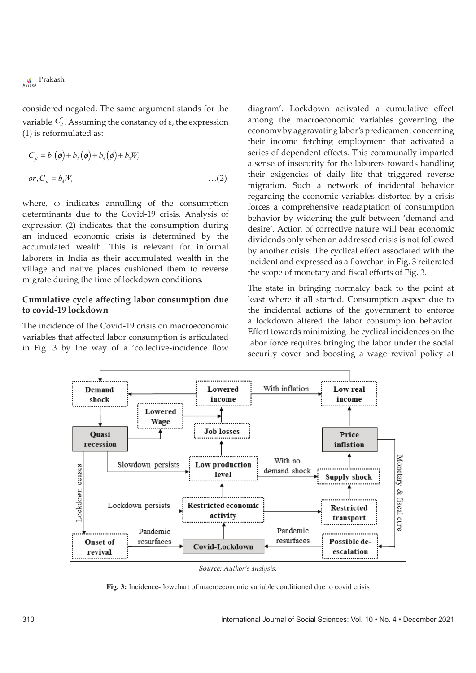**C**<br>AESSRA Prakash

considered negated. The same argument stands for the variable  $C_{it}^{*}$ . Assuming the constancy of  $\varepsilon$ , the expression (1) is reformulated as:

$$
C_{ji} = b_1(\phi) + b_2(\phi) + b_3(\phi) + b_4W_i
$$
  
or,  $C_{ji} = b_4W_i$  ... (2)

where,  $\phi$  indicates annulling of the consumption determinants due to the Covid-19 crisis. Analysis of expression (2) indicates that the consumption during an induced economic crisis is determined by the accumulated wealth. This is relevant for informal laborers in India as their accumulated wealth in the village and native places cushioned them to reverse migrate during the time of lockdown conditions.

### **Cumulative cycle affecting labor consumption due to covid-19 lockdown**

The incidence of the Covid-19 crisis on macroeconomic variables that affected labor consumption is articulated in Fig. 3 by the way of a 'collective-incidence flow diagram'. Lockdown activated a cumulative effect among the macroeconomic variables governing the economy by aggravating labor's predicament concerning their income fetching employment that activated a series of dependent effects. This communally imparted a sense of insecurity for the laborers towards handling their exigencies of daily life that triggered reverse migration. Such a network of incidental behavior regarding the economic variables distorted by a crisis forces a comprehensive readaptation of consumption behavior by widening the gulf between 'demand and desire'. Action of corrective nature will bear economic dividends only when an addressed crisis is not followed by another crisis. The cyclical effect associated with the incident and expressed as a flowchart in Fig. 3 reiterated the scope of monetary and fiscal efforts of Fig. 3.

The state in bringing normalcy back to the point at least where it all started. Consumption aspect due to the incidental actions of the government to enforce a lockdown altered the labor consumption behavior. Effort towards minimizing the cyclical incidences on the labor force requires bringing the labor under the social security cover and boosting a wage revival policy at



*Source: Author's analysis.*

**Fig. 3:** Incidence-flowchart of macroeconomic variable conditioned due to covid crisis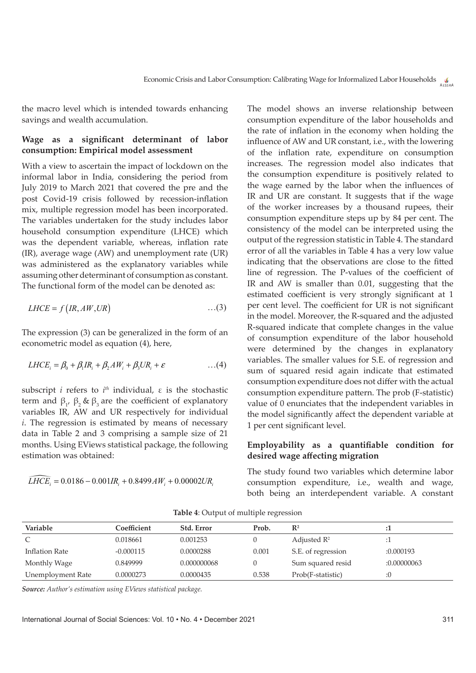the macro level which is intended towards enhancing savings and wealth accumulation.

### **Wage as a significant determinant of labor consumption: Empirical model assessment**

With a view to ascertain the impact of lockdown on the informal labor in India, considering the period from July 2019 to March 2021 that covered the pre and the post Covid-19 crisis followed by recession-inflation mix, multiple regression model has been incorporated. The variables undertaken for the study includes labor household consumption expenditure (LHCE) which was the dependent variable, whereas, inflation rate (IR), average wage (AW) and unemployment rate (UR) was administered as the explanatory variables while assuming other determinant of consumption as constant. The functional form of the model can be denoted as:

$$
LHCE = f\left(IR, AW, UR\right) \tag{3}
$$

The expression (3) can be generalized in the form of an econometric model as equation (4), here,

$$
LHCE_i = \beta_0 + \beta_1 IR_i + \beta_2 AW_i + \beta_3 UR_i + \varepsilon \qquad \qquad \dots (4)
$$

subscript *i* refers to  $i<sup>th</sup>$  individual,  $\varepsilon$  is the stochastic term and  $β_1$ ,  $β_2$  &  $β_3$  are the coefficient of explanatory variables IR, AW and UR respectively for individual *i*. The regression is estimated by means of necessary data in Table 2 and 3 comprising a sample size of 21 months. Using EViews statistical package, the following estimation was obtained:

$$
\widehat{LHCE_i} = 0.0186 - 0.001IR_i + 0.8499AW_i + 0.00002UR_i
$$

The model shows an inverse relationship between consumption expenditure of the labor households and the rate of inflation in the economy when holding the influence of AW and UR constant, i.e., with the lowering of the inflation rate, expenditure on consumption increases. The regression model also indicates that the consumption expenditure is positively related to the wage earned by the labor when the influences of IR and UR are constant. It suggests that if the wage of the worker increases by a thousand rupees, their consumption expenditure steps up by 84 per cent. The consistency of the model can be interpreted using the output of the regression statistic in Table 4. The standard error of all the variables in Table 4 has a very low value indicating that the observations are close to the fitted line of regression. The P-values of the coefficient of IR and AW is smaller than 0.01, suggesting that the estimated coefficient is very strongly significant at 1 per cent level. The coefficient for UR is not significant in the model. Moreover, the R-squared and the adjusted R-squared indicate that complete changes in the value of consumption expenditure of the labor household were determined by the changes in explanatory variables. The smaller values for S.E. of regression and sum of squared resid again indicate that estimated consumption expenditure does not differ with the actual consumption expenditure pattern. The prob (F-statistic) value of 0 enunciates that the independent variables in the model significantly affect the dependent variable at 1 per cent significant level.

#### **Employability as a quantifiable condition for desired wage affecting migration**

The study found two variables which determine labor consumption expenditure, i.e., wealth and wage, both being an interdependent variable. A constant

| Variable          | Coefficient | Std. Error  | Prob. | $\mathbb{R}^2$          | :1          |
|-------------------|-------------|-------------|-------|-------------------------|-------------|
|                   | 0.018661    | 0.001253    |       | Adjusted $\mathbb{R}^2$ | :1          |
| Inflation Rate    | $-0.000115$ | 0.0000288   | 0.001 | S.E. of regression      | :0.000193   |
| Monthly Wage      | 0.849999    | 0.000000068 |       | Sum squared resid       | :0.00000063 |
| Unemployment Rate | 0.0000273   | 0.0000435   | 0.538 | Prob(F-statistic)       | :0          |

**Table 4**: Output of multiple regression

*Source: Author's estimation using EViews statistical package.*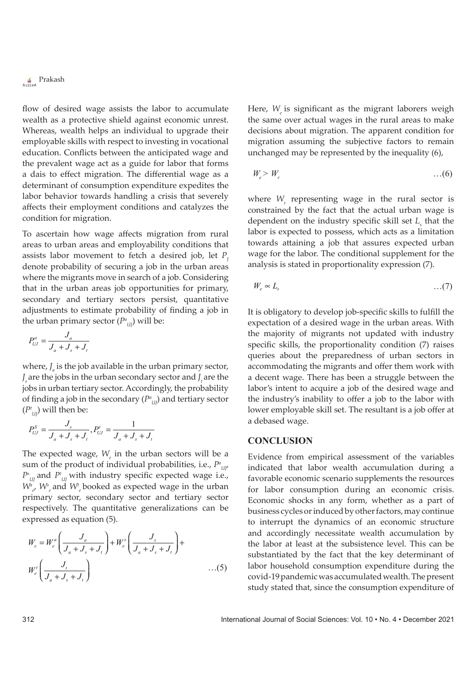# **CESSRA** Prakash

flow of desired wage assists the labor to accumulate wealth as a protective shield against economic unrest. Whereas, wealth helps an individual to upgrade their employable skills with respect to investing in vocational education. Conflicts between the anticipated wage and the prevalent wage act as a guide for labor that forms a dais to effect migration. The differential wage as a determinant of consumption expenditure expedites the labor behavior towards handling a crisis that severely affects their employment conditions and catalyzes the condition for migration.

To ascertain how wage affects migration from rural areas to urban areas and employability conditions that assists labor movement to fetch a desired job, let  $P_i$ denote probability of securing a job in the urban areas where the migrants move in search of a job. Considering that in the urban areas job opportunities for primary, secondary and tertiary sectors persist, quantitative adjustments to estimate probability of finding a job in the urban primary sector  $(P^a_{IJ})$  will be:

$$
P_{UJ}^a = \frac{J_a}{J_a + J_s + J_t}
$$

where,  $J_a$  is the job available in the urban primary sector,  $J_s$  are the jobs in the urban secondary sector and  $J_t$  are the jobs in urban tertiary sector. Accordingly, the probability of finding a job in the secondary  $(P^a_{UJ})$  and tertiary sector  $(P^t_{\ \mathit{UJ}})$  will then be:

$$
P_{UJ}^{S} = \frac{J_{s}}{J_{a} + J_{s} + J_{t}}, P_{UJ}^{t} = \frac{1}{J_{a} + J_{s} + J_{t}}
$$

The expected wage,  $W_e$  in the urban sectors will be a sum of the product of individual probabilities, i.e.,  $P^a_{\;\;IJ'}$  $P_{U}^{s}$  and  $P_{U}^{t}$  with industry specific expected wage i.e.,  $W^{\textit{a}}_{\textit{e}}$ ,  $W^{\textit{s}}_{\textit{e}}$  and  $W^{\textit{t}}_{\textit{e}}$  booked as expected wage in the urban primary sector, secondary sector and tertiary sector respectively. The quantitative generalizations can be expressed as equation (5).

$$
W_e = W_e^a \left( \frac{J_a}{J_a + J_s + J_t} \right) + W_e^s \left( \frac{J_s}{J_a + J_s + J_t} \right) +
$$
  

$$
W_e^t \left( \frac{J_t}{J_a + J_s + J_t} \right) \tag{5}
$$

Here,  $W_{\mu}$  is significant as the migrant laborers weigh the same over actual wages in the rural areas to make decisions about migration. The apparent condition for migration assuming the subjective factors to remain unchanged may be represented by the inequality (6),

$$
W_e > W_r \tag{6}
$$

where  $W_r$  representing wage in the rural sector is constrained by the fact that the actual urban wage is dependent on the industry specific skill set  $L<sub>s</sub>$  that the labor is expected to possess, which acts as a limitation towards attaining a job that assures expected urban wage for the labor. The conditional supplement for the analysis is stated in proportionality expression (7).

$$
W_e \propto L_s \tag{7}
$$

It is obligatory to develop job-specific skills to fulfill the expectation of a desired wage in the urban areas. With the majority of migrants not updated with industry specific skills, the proportionality condition (7) raises queries about the preparedness of urban sectors in accommodating the migrants and offer them work with a decent wage. There has been a struggle between the labor's intent to acquire a job of the desired wage and the industry's inability to offer a job to the labor with lower employable skill set. The resultant is a job offer at a debased wage.

#### **CONCLUSION**

Evidence from empirical assessment of the variables indicated that labor wealth accumulation during a favorable economic scenario supplements the resources for labor consumption during an economic crisis. Economic shocks in any form, whether as a part of business cycles or induced by other factors, may continue to interrupt the dynamics of an economic structure and accordingly necessitate wealth accumulation by the labor at least at the subsistence level. This can be substantiated by the fact that the key determinant of labor household consumption expenditure during the covid-19 pandemic was accumulated wealth. The present study stated that, since the consumption expenditure of